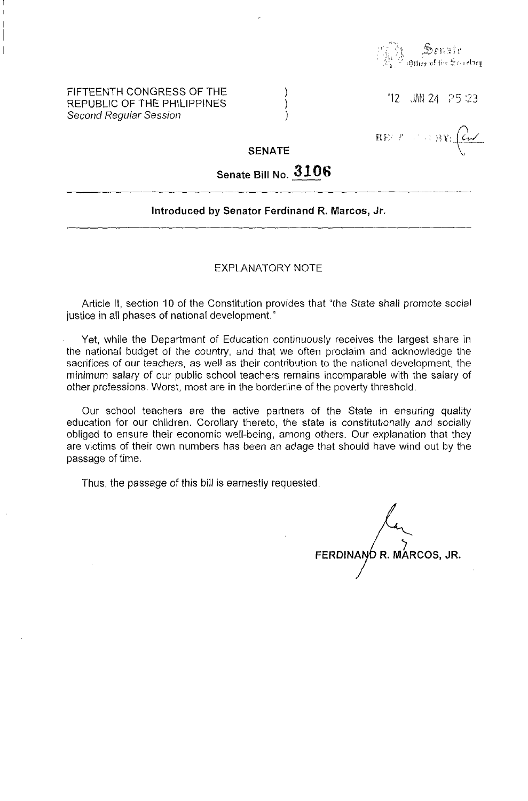

### FIFTEENTH CONGRESS OF THE REPUBLIC OF THE PHILIPPINES Second Regular Session

 $12$  JM 24  $.25:23$ 

一扫 导量

 $\mathbf{R} \mathbf{F}^{(j)}_{\mathcal{F}}(t)$ 

## **SENATE**

) ) )

# **Senate Bill No. 3106**

#### **Introduced by Senator Ferdinand R. Marcos, Jr.**

#### EXPLANATORY NOTE

Article **II,** section 10 of the Constitution provides that "the State shall promote social justice in all phases of national development."

Yet, while the Department of Education continuously receives the largest share in the national budget of the country, and that we often proclaim and acknowledge the sacrifices of our teachers, as well as their contribution to the national development, the minimum salary of our public school teachers remains incomparable with the salary of other professions. Worst, most are in the borderline of the poverty threshold.

Our school teachers are the active partners of the State in ensuring quality education for our children. Corollary thereto, the state is constitutionally and socially obliged to ensure their economic well-being, among others. Our explanation that they are victims of their own numbers has been an adage that should have wind out by the passage of time.

Thus, the passage of this bill is earnestly requested.

 $\bm{\gamma}$ **FERDINAN R. MARCOS, JR.**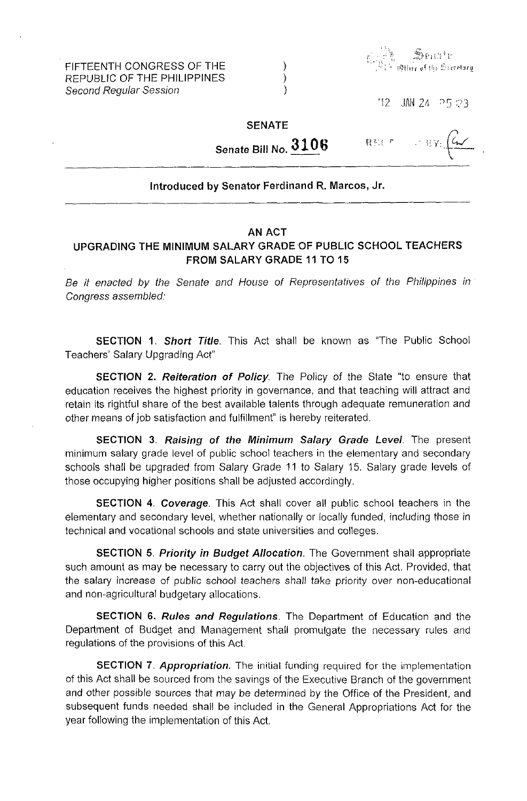FIFTEENTH CONGRESS OF THE REPUBLIC OF THE PHILIPPINES Second Regular Session



 $12$  JAN 24 P5 23

## SENATE

) ) )

-,-  $\cdot$  HY:  $\left(\frac{C_{\text{m}}}{\sqrt{C_{\text{m}}}}\right)$ 龍影 #

Senate Bill No. **3106** 

## Introduced by Senator Ferdinand R. Marcos, Jr.

#### AN ACT

# UPGRADING THE MINIMUM SALARY GRADE OF PUBLIC SCHOOL TEACHERS FROM SALARY GRADE 11 TO 15

Be it enacted by the Senate and House of Representatives of the Philippines in Congress assembled:

SECTION 1. Short Title. This Act shall be known as "The Public School Teachers' Salary Upgrading Act"

SECTION 2. Reiteration of Policy. The Policy of the State "to ensure that education receives the highest priority in governance, and that teaching will attract and retain its rightful share of the best available talents through adequate remuneration and other means of job satisfaction and fulfillment" is hereby reiterated.

SECTION 3. Raising of the Minimum Salary Grade Level. The present minimum salary grade level of public school teachers in the elementary and secondary schools shall be upgraded from Salary Grade 11 to Salary 15. Salary grade levels of those occupying higher positions shall be adjusted accordingly.

SECTION 4. Coverage. This Act shall cover all public school teachers in the elementary and secondary level, whether nationally or locally funded, including those in technical and vocational schools and state universities and colleges.

SECTION 5. Priority in Budget Allocation. The Government shall appropriate such amount as may be necessary to carry out the objectives of this Act. Provided, that the salary increase of public school teachers shall take priority over non-educational and non-agricultural budgetary allocations.

SECTION 6. Rules and Regulations. The Department of Education and the Department of Budget and Management shall promulgate the necessary rules and regulations of the provisions of this Act

SECTION 7. Appropriation. The initial funding required for the implementation of this Act shall be sourced from the savings of the Executive Branch of the government and other possible sources that may be determined by the Office of the President, and subsequent funds needed shall be included in the General Appropriations Act for the year following the implementation of this Act.